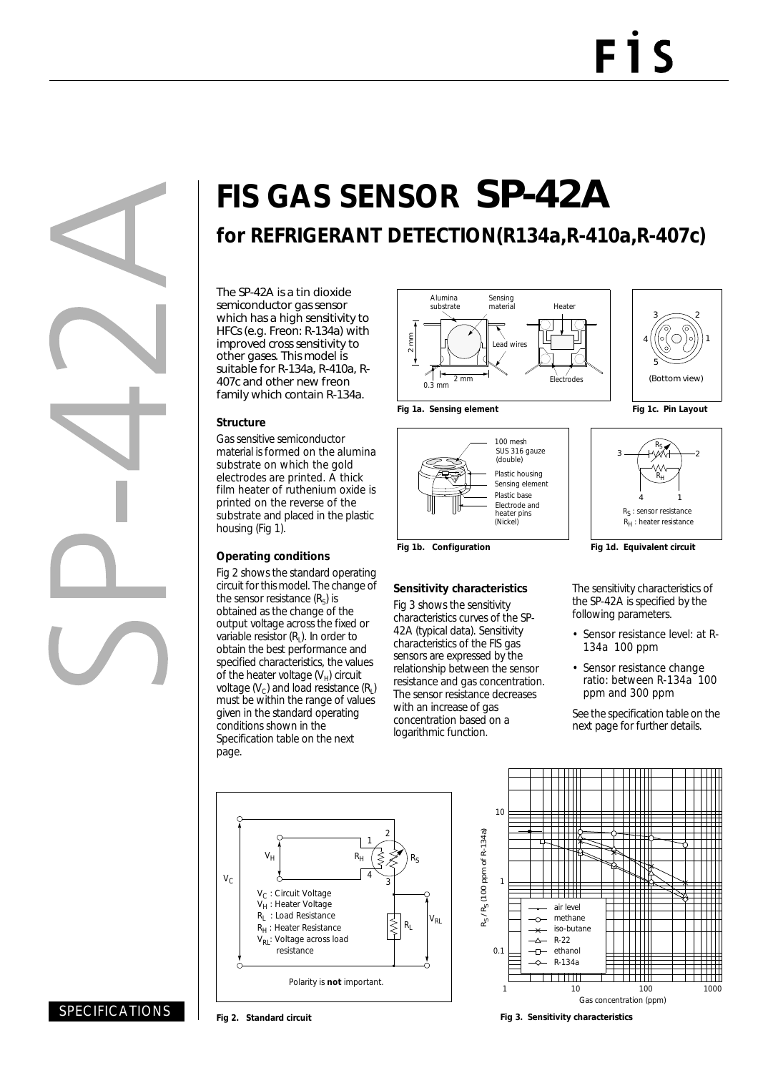# **FIS GAS SENSOR** SP-42A

## **for REFRIGERANT DETECTION(R134a,R-410a,R-407c)**

The SP-42A is a tin dioxide semiconductor gas sensor which has a high sensitivity to HFCs (e.g. Freon: R-134a) with improved cross sensitivity to other gases. This model is suitable for R-134a, R-410a, R-407c and other new freon family which contain R-134a.

#### **Structure**

Gas sensitive semiconductor material is formed on the alumina substrate on which the gold electrodes are printed. A thick film heater of ruthenium oxide is printed on the reverse of the substrate and placed in the plastic housing (Fig 1).

#### **Operating conditions**

Fig 2 shows the standard operating circuit for this model. The change of the sensor resistance  $(R<sub>s</sub>)$  is obtained as the change of the output voltage across the fixed or variable resistor  $(R<sub>1</sub>)$ . In order to obtain the best performance and specified characteristics, the values of the heater voltage  $(V_H)$  circuit voltage  $(V_C)$  and load resistance  $(R<sub>1</sub>)$ must be within the range of values given in the standard operating conditions shown in the Specification table on the next page.



100 mesh SUS 316 gauze

(double)

Electrode and (Nickel)

heater pins

**Sensitivity characteristics** Fig 3 shows the sensitivity characteristics curves of the SP-42A (typical data). Sensitivity characteristics of the FIS gas sensors are expressed by the relationship between the sensor resistance and gas concentration. The sensor resistance decreases with an increase of gas concentration based on a logarithmic function.

Plastic housing

Sensing element Plastic base





Fig 1b. Configuration **Fig 1d. Equivalent circuit** 

The sensitivity characteristics of the SP-42A is specified by the following parameters.

- Sensor resistance level: at R-134a 100 ppm
- Sensor resistance change ratio: between R-134a 100 ppm and 300 ppm

See the specification table on the next page for further details.





SPECIFICATIONS

**Fig 2. Standard circuit**